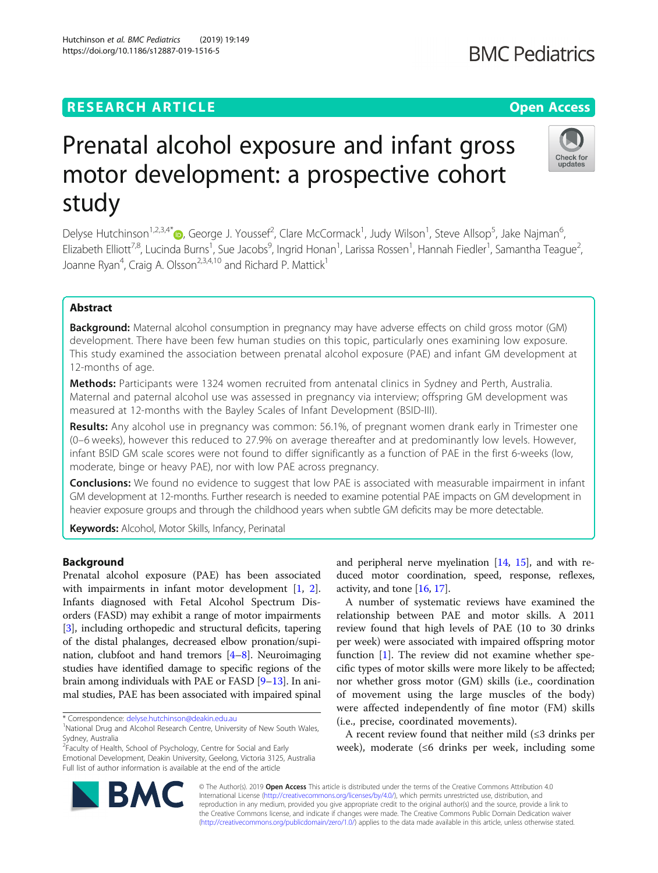## **RESEARCH ARTICLE Example 2014 12:30 The Contract of Contract ACCESS**

# Prenatal alcohol exposure and infant gross motor development: a prospective cohort study

Delyse Hutchinson<sup>1[,](http://orcid.org/0000-0003-3221-7143)2,3,4\*</sup>®, George J. Youssef<sup>2</sup>, Clare McCormack<sup>1</sup>, Judy Wilson<sup>1</sup>, Steve Allsop<sup>5</sup>, Jake Najman<sup>6</sup> י<br>, Elizabeth Elliott<sup>7,8</sup>, Lucinda Burns<sup>1</sup>, Sue Jacobs<sup>9</sup>, Ingrid Honan<sup>1</sup>, Larissa Rossen<sup>1</sup>, Hannah Fiedler<sup>1</sup>, Samantha Teague<sup>2</sup> , Joanne Ryan<sup>4</sup>, Craig A. Olsson<sup>2,3,4,10</sup> and Richard P. Mattick<sup>1</sup>

## Abstract

**Background:** Maternal alcohol consumption in pregnancy may have adverse effects on child gross motor (GM) development. There have been few human studies on this topic, particularly ones examining low exposure. This study examined the association between prenatal alcohol exposure (PAE) and infant GM development at 12-months of age.

Methods: Participants were 1324 women recruited from antenatal clinics in Sydney and Perth, Australia. Maternal and paternal alcohol use was assessed in pregnancy via interview; offspring GM development was measured at 12-months with the Bayley Scales of Infant Development (BSID-III).

Results: Any alcohol use in pregnancy was common: 56.1%, of pregnant women drank early in Trimester one (0–6 weeks), however this reduced to 27.9% on average thereafter and at predominantly low levels. However, infant BSID GM scale scores were not found to differ significantly as a function of PAE in the first 6-weeks (low, moderate, binge or heavy PAE), nor with low PAE across pregnancy.

**Conclusions:** We found no evidence to suggest that low PAE is associated with measurable impairment in infant GM development at 12-months. Further research is needed to examine potential PAE impacts on GM development in heavier exposure groups and through the childhood years when subtle GM deficits may be more detectable.

Keywords: Alcohol, Motor Skills, Infancy, Perinatal

## Background

Prenatal alcohol exposure (PAE) has been associated with impairments in infant motor development [\[1](#page-12-0), [2](#page-12-0)]. Infants diagnosed with Fetal Alcohol Spectrum Disorders (FASD) may exhibit a range of motor impairments [[3\]](#page-12-0), including orthopedic and structural deficits, tapering of the distal phalanges, decreased elbow pronation/supination, clubfoot and hand tremors [\[4](#page-12-0)–[8\]](#page-12-0). Neuroimaging studies have identified damage to specific regions of the brain among individuals with PAE or FASD [[9](#page-12-0)–[13](#page-12-0)]. In animal studies, PAE has been associated with impaired spinal

\* Correspondence: [delyse.hutchinson@deakin.edu.au](mailto:delyse.hutchinson@deakin.edu.au) <sup>1</sup>

<sup>2</sup> Faculty of Health, School of Psychology, Centre for Social and Early Emotional Development, Deakin University, Geelong, Victoria 3125, Australia Full list of author information is available at the end of the article

> © The Author(s). 2019 Open Access This article is distributed under the terms of the Creative Commons Attribution 4.0 International License [\(http://creativecommons.org/licenses/by/4.0/](http://creativecommons.org/licenses/by/4.0/)), which permits unrestricted use, distribution, and reproduction in any medium, provided you give appropriate credit to the original author(s) and the source, provide a link to the Creative Commons license, and indicate if changes were made. The Creative Commons Public Domain Dedication waiver [\(http://creativecommons.org/publicdomain/zero/1.0/](http://creativecommons.org/publicdomain/zero/1.0/)) applies to the data made available in this article, unless otherwise stated.

and peripheral nerve myelination [\[14](#page-12-0), [15](#page-12-0)], and with reduced motor coordination, speed, response, reflexes, activity, and tone [[16](#page-12-0), [17\]](#page-12-0).

A number of systematic reviews have examined the relationship between PAE and motor skills. A 2011 review found that high levels of PAE (10 to 30 drinks per week) were associated with impaired offspring motor function [\[1](#page-12-0)]. The review did not examine whether specific types of motor skills were more likely to be affected; nor whether gross motor (GM) skills (i.e., coordination of movement using the large muscles of the body) were affected independently of fine motor (FM) skills (i.e., precise, coordinated movements).

A recent review found that neither mild (≤3 drinks per week), moderate (≤6 drinks per week, including some





## **BMC Pediatrics**



<sup>&</sup>lt;sup>1</sup>National Drug and Alcohol Research Centre, University of New South Wales, Sydney, Australia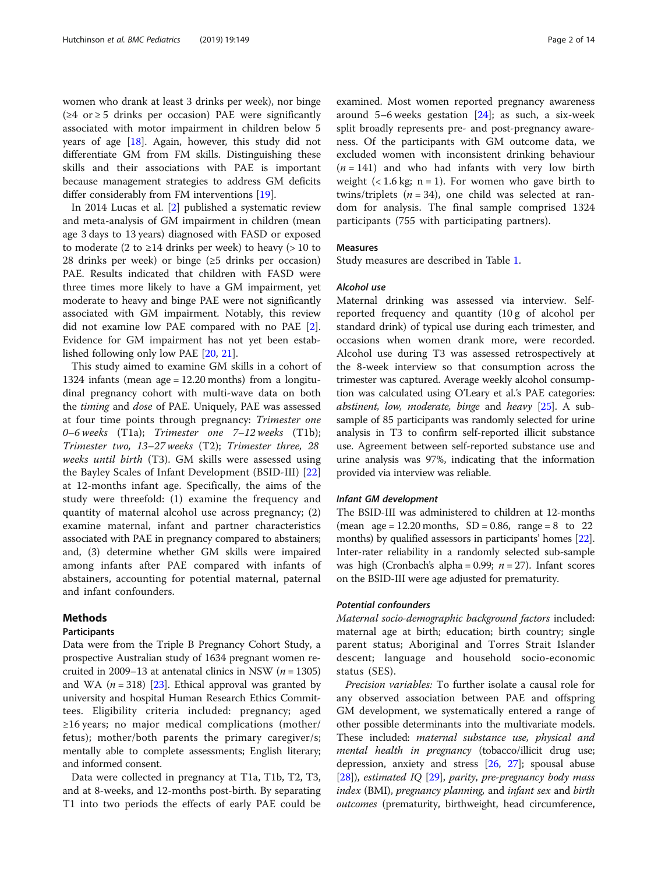women who drank at least 3 drinks per week), nor binge ( $≥4$  or  $≥5$  drinks per occasion) PAE were significantly associated with motor impairment in children below 5 years of age [\[18\]](#page-12-0). Again, however, this study did not differentiate GM from FM skills. Distinguishing these skills and their associations with PAE is important because management strategies to address GM deficits differ considerably from FM interventions [\[19\]](#page-12-0).

In 2014 Lucas et al. [[2\]](#page-12-0) published a systematic review and meta-analysis of GM impairment in children (mean age 3 days to 13 years) diagnosed with FASD or exposed to moderate (2 to  $\geq$ 14 drinks per week) to heavy (> 10 to 28 drinks per week) or binge  $(\geq 5$  drinks per occasion) PAE. Results indicated that children with FASD were three times more likely to have a GM impairment, yet moderate to heavy and binge PAE were not significantly associated with GM impairment. Notably, this review did not examine low PAE compared with no PAE [\[2](#page-12-0)]. Evidence for GM impairment has not yet been established following only low PAE [[20](#page-12-0), [21](#page-12-0)].

This study aimed to examine GM skills in a cohort of 1324 infants (mean age = 12.20 months) from a longitudinal pregnancy cohort with multi-wave data on both the timing and dose of PAE. Uniquely, PAE was assessed at four time points through pregnancy: Trimester one 0–6 weeks (T1a); Trimester one  $7-12$  weeks (T1b); Trimester two, 13–27 weeks (T2); Trimester three, 28 weeks until birth (T3). GM skills were assessed using the Bayley Scales of Infant Development (BSID-III) [\[22](#page-12-0)] at 12-months infant age. Specifically, the aims of the study were threefold: (1) examine the frequency and quantity of maternal alcohol use across pregnancy; (2) examine maternal, infant and partner characteristics associated with PAE in pregnancy compared to abstainers; and, (3) determine whether GM skills were impaired among infants after PAE compared with infants of abstainers, accounting for potential maternal, paternal and infant confounders.

## Methods

## Participants

Data were from the Triple B Pregnancy Cohort Study, a prospective Australian study of 1634 pregnant women recruited in 2009–13 at antenatal clinics in NSW ( $n = 1305$ ) and WA  $(n = 318)$  [\[23\]](#page-13-0). Ethical approval was granted by university and hospital Human Research Ethics Committees. Eligibility criteria included: pregnancy; aged ≥16 years; no major medical complications (mother/ fetus); mother/both parents the primary caregiver/s; mentally able to complete assessments; English literary; and informed consent.

Data were collected in pregnancy at T1a, T1b, T2, T3, and at 8-weeks, and 12-months post-birth. By separating T1 into two periods the effects of early PAE could be

examined. Most women reported pregnancy awareness around 5–6 weeks gestation [\[24](#page-13-0)]; as such, a six-week split broadly represents pre- and post-pregnancy awareness. Of the participants with GM outcome data, we excluded women with inconsistent drinking behaviour  $(n = 141)$  and who had infants with very low birth weight  $(< 1.6 \text{ kg}; \text{ n} = 1)$ . For women who gave birth to twins/triplets  $(n = 34)$ , one child was selected at random for analysis. The final sample comprised 1324 participants (755 with participating partners).

## Measures

Study measures are described in Table [1.](#page-2-0)

## Alcohol use

Maternal drinking was assessed via interview. Selfreported frequency and quantity (10 g of alcohol per standard drink) of typical use during each trimester, and occasions when women drank more, were recorded. Alcohol use during T3 was assessed retrospectively at the 8-week interview so that consumption across the trimester was captured. Average weekly alcohol consumption was calculated using O'Leary et al.'s PAE categories: abstinent, low, moderate, binge and heavy [[25](#page-13-0)]. A subsample of 85 participants was randomly selected for urine analysis in T3 to confirm self-reported illicit substance use. Agreement between self-reported substance use and urine analysis was 97%, indicating that the information provided via interview was reliable.

#### Infant GM development

The BSID-III was administered to children at 12-months (mean  $age = 12.20$  months,  $SD = 0.86$ , range = 8 to 22 months) by qualified assessors in participants' homes [[22](#page-12-0)]. Inter-rater reliability in a randomly selected sub-sample was high (Cronbach's alpha = 0.99;  $n = 27$ ). Infant scores on the BSID-III were age adjusted for prematurity.

#### Potential confounders

Maternal socio-demographic background factors included: maternal age at birth; education; birth country; single parent status; Aboriginal and Torres Strait Islander descent; language and household socio-economic status (SES).

Precision variables: To further isolate a causal role for any observed association between PAE and offspring GM development, we systematically entered a range of other possible determinants into the multivariate models. These included: maternal substance use, physical and mental health in pregnancy (tobacco/illicit drug use; depression, anxiety and stress [[26,](#page-13-0) [27](#page-13-0)]; spousal abuse  $[28]$  $[28]$  $[28]$ ), estimated IQ  $[29]$ , parity, pre-pregnancy body mass index (BMI), pregnancy planning, and infant sex and birth outcomes (prematurity, birthweight, head circumference,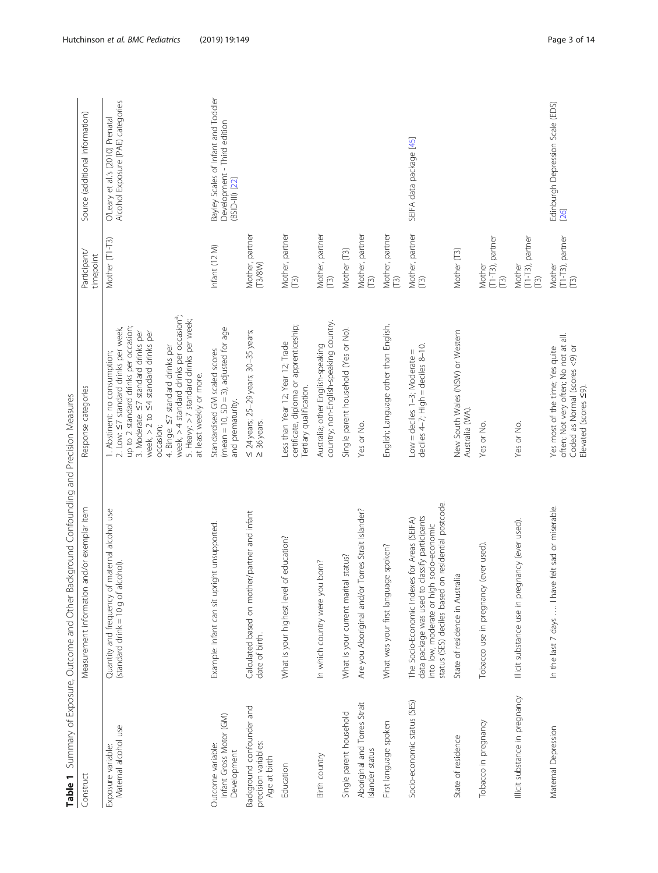<span id="page-2-0"></span>

| Table 1                                                           | Summary of Exposure, Outcome and Other Background Confounding and Precision Measures                                                                                                              |                                                                                                                                                                                                                                                                                                                                                                               |                                                                                                                                                                                                                                                                                                                                                                                                                                                          |                                                                                       |
|-------------------------------------------------------------------|---------------------------------------------------------------------------------------------------------------------------------------------------------------------------------------------------|-------------------------------------------------------------------------------------------------------------------------------------------------------------------------------------------------------------------------------------------------------------------------------------------------------------------------------------------------------------------------------|----------------------------------------------------------------------------------------------------------------------------------------------------------------------------------------------------------------------------------------------------------------------------------------------------------------------------------------------------------------------------------------------------------------------------------------------------------|---------------------------------------------------------------------------------------|
| Construct                                                         | Measurement information and/or exemplar item                                                                                                                                                      | Response categories                                                                                                                                                                                                                                                                                                                                                           | Participant/<br>timepoint                                                                                                                                                                                                                                                                                                                                                                                                                                | Source (additional information)                                                       |
| Maternal alcohol use<br>Exposure variable:                        | Quantity and frequency of maternal alcohol use<br>(standard drink = 10 g of alcohol).                                                                                                             | week, > 4 standard drinks per occasion <sup>a</sup> ;<br>5. Heavy: > 7 standard drinks per week;<br>up to 2 standard drinks per occasion;<br>2. Low: <7 standard drinks per week,<br>3. Moderate: <7 standard drinks per<br>week, > 2 to <4 standard drinks per<br>4. Binge: <7 standard drinks per<br>1. Abstinent: no consumption;<br>at least weekly or more.<br>occasion; | Mother (T1-T3)                                                                                                                                                                                                                                                                                                                                                                                                                                           | Alcohol Exposure (PAE) categories<br>O'Leary et al.'s (2010) Prenatal                 |
| Infant Gross Motor (GM)<br>Outcome variable:<br>Development       | Example: Infant can sit upright unsupported.                                                                                                                                                      | (mean = $10$ , $SD = 3$ ), adjusted for age<br>Standardised GM scaled scores<br>and prematurity.                                                                                                                                                                                                                                                                              | Infant (12 M)                                                                                                                                                                                                                                                                                                                                                                                                                                            | Bayley Scales of Infant and Toddler<br>Development - Third edition<br>(BSID-III) [22] |
| Background confounder and<br>precision variables:<br>Age at birth | Calculated based on mother/partner and infant<br>date of birth.                                                                                                                                   | $\leq$ 24 years; 25-29 years; 30-35 years;<br>$\geq$ 36 years.                                                                                                                                                                                                                                                                                                                | Mother, partner<br>(T3/8W)                                                                                                                                                                                                                                                                                                                                                                                                                               |                                                                                       |
| Education                                                         | What is your highest level of education?                                                                                                                                                          | certificate, diploma or apprenticeship;<br>Less than Year 12; Year 12; Trade<br>Tertiary qualification.                                                                                                                                                                                                                                                                       | Mother, partner<br>$\begin{array}{c}\n\text{ }\\[-2pt] \text{ }\\[-2pt] \text{ }\\[-2pt] \text{ }\\[-2pt] \text{ }\\[-2pt] \text{ }\\[-2pt] \text{ }\\[-2pt] \text{ }\\[-2pt] \text{ }\\[-2pt] \text{ }\\[-2pt] \text{ }\\[-2pt] \text{ }\\[-2pt] \text{ }\\[-2pt] \text{ }\\[-2pt] \text{ }\\[-2pt] \text{ }\\[-2pt] \text{ }\\[-2pt] \text{ }\\[-2pt] \text{ }\\[-2pt] \text{ }\\[-2pt] \text{ }\\[-2pt] \text{ }\\[-2pt] \text{ }\\[-2pt] \text{ }\\$ |                                                                                       |
| <b>Birth country</b>                                              | born?<br>In which country were you                                                                                                                                                                | country; non-English-speaking country<br>Australia; other English-speaking                                                                                                                                                                                                                                                                                                    | Mother, partner<br>(13)                                                                                                                                                                                                                                                                                                                                                                                                                                  |                                                                                       |
| Single parent household                                           | What is your current marital status?                                                                                                                                                              | Single parent household (Yes or No)                                                                                                                                                                                                                                                                                                                                           | Mother (T3)                                                                                                                                                                                                                                                                                                                                                                                                                                              |                                                                                       |
| Aboriginal and Torres Strait<br>Islander status                   | Are you Aboriginal and/or Torres Strait Islander?                                                                                                                                                 | Yes or No.                                                                                                                                                                                                                                                                                                                                                                    | Mother, partner<br>(T3)                                                                                                                                                                                                                                                                                                                                                                                                                                  |                                                                                       |
| First language spoken                                             | What was your first language spoken?                                                                                                                                                              | English; Language other than English.                                                                                                                                                                                                                                                                                                                                         | Mother, partner<br>(13)                                                                                                                                                                                                                                                                                                                                                                                                                                  |                                                                                       |
| Socio-economic status (SES)                                       | status (SES) deciles based on residential postcode<br>data package was used to classify participants<br>The Socio-Economic Indexes for Areas (SEIFA)<br>into low, moderate or high socio-economic | deciles $4-7$ ; High = deciles $8-10$ .<br>Low = deciles $1-3$ ; Moderate =                                                                                                                                                                                                                                                                                                   | Mother, partner<br>(T3)                                                                                                                                                                                                                                                                                                                                                                                                                                  | SEIFA data package [45]                                                               |
| State of residence                                                | State of residence in Australia                                                                                                                                                                   | New South Wales (NSW) or Western<br>Australia (WA).                                                                                                                                                                                                                                                                                                                           | Mother (T3)                                                                                                                                                                                                                                                                                                                                                                                                                                              |                                                                                       |
| Tobacco in pregnancy                                              | Tobacco use in pregnancy (ever used)                                                                                                                                                              | Yes or No.                                                                                                                                                                                                                                                                                                                                                                    | $(T1-T3)$ , partner<br>Mother<br>(T3)                                                                                                                                                                                                                                                                                                                                                                                                                    |                                                                                       |
| Illicit substance in pregnancy                                    | Illicit substance use in pregnancy (ever used)                                                                                                                                                    | Yes or No.                                                                                                                                                                                                                                                                                                                                                                    | $(T1-T3)$ , partner<br>Mother<br>(T3)                                                                                                                                                                                                                                                                                                                                                                                                                    |                                                                                       |
| Maternal Depression                                               | In the last 7 days  I have felt sad or miserable.                                                                                                                                                 | often; Not very often; No not at all.<br>Yes most of the time; Yes quite<br>Coded as Normal (scores <9) or<br>Elevated (scores <9).                                                                                                                                                                                                                                           | $(T1--T3)$ , partner<br>Mother<br>(T3)                                                                                                                                                                                                                                                                                                                                                                                                                   | Edinburgh Depression Scale (EDS)<br>[26]                                              |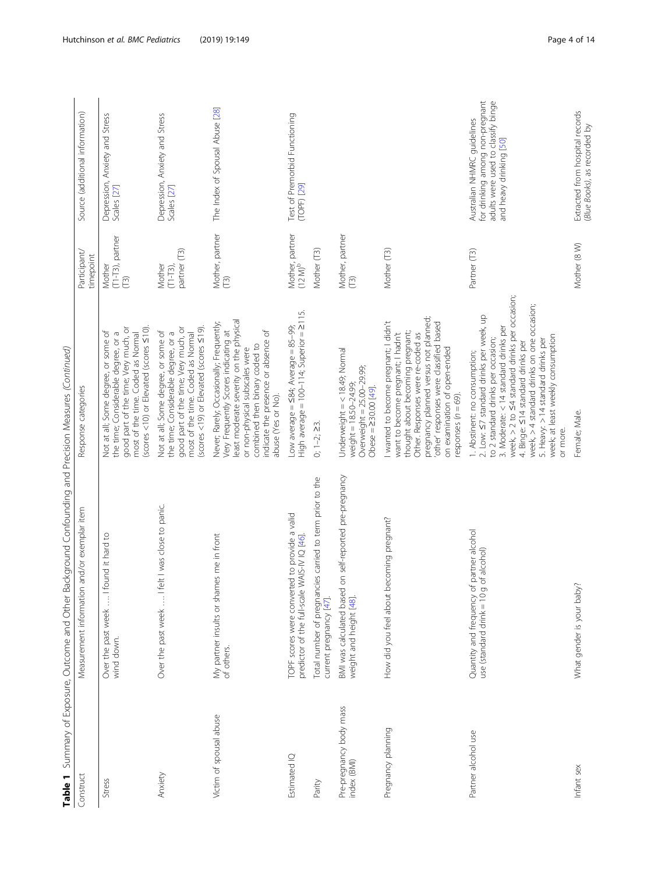| Table 1                                | Summary of Exposure, Outcome and Other Background Confounding and Precision Measures (Continued) |                                                                                                                                                                                                                                                                                                                                                                                    |                                        |                                                                                                                                 |
|----------------------------------------|--------------------------------------------------------------------------------------------------|------------------------------------------------------------------------------------------------------------------------------------------------------------------------------------------------------------------------------------------------------------------------------------------------------------------------------------------------------------------------------------|----------------------------------------|---------------------------------------------------------------------------------------------------------------------------------|
| Construct                              | and/or exemplar item<br>Measurement information                                                  | Response categories                                                                                                                                                                                                                                                                                                                                                                | Participant/<br>timepoint              | Source (additional information)                                                                                                 |
| Stress                                 | found it hard to<br>Ē<br>Over the past week<br>wind down.                                        | (scores <10) or Elevated (scores <10).<br>good part of the time; Very much, or<br>Not at all; Some degree, or some of<br>the time; Considerable degree, or a<br>most of the time. Coded as Normal                                                                                                                                                                                  | $(T1-T3)$ , partner<br>Mother<br>(13)  | Depression, Anxiety and Stress<br>Scales [27]                                                                                   |
| Anxiety                                | Over the past week  I felt I was close to panic.                                                 | good part of the time; Very much, or<br>(scores <19) or Elevated (scores <19).<br>Not at all; Some degree, or some of<br>the time; Considerable degree, or a<br>most of the time. Coded as Normal                                                                                                                                                                                  | partner (T3)<br>Mother<br>$(T1 - T3),$ | Depression, Anxiety and Stress<br>Scales [27]                                                                                   |
| Victim of spousal abuse                | My partner insults or shames me in front<br>of others.                                           | least moderate severity on the physical<br>Never; Rarely; Occasionally; Frequently;<br>indicate the presence or absence of<br>Very Frequently Scores indicating at<br>combined then binary coded to<br>or non-physical subscales were<br>abuse (Yes or No).                                                                                                                        | Mother, partner<br>ĈJ)                 | The Index of Spousal Abuse [28]                                                                                                 |
| Estimated IQ                           | TOPF scores were converted to provide a valid<br>predictor of the full-scale WAIS-IV IQ [46].    | High average = $100-114$ ; Superior = $\geq$ 115.<br>Low average = ≤84; Average = 85-99;                                                                                                                                                                                                                                                                                           | Mother, partner<br>(12 M) <sup>b</sup> | Test of Premorbid Functioning<br>(TOPF) [29]                                                                                    |
| Parity                                 | Total number of pregnancies carried to term prior to the<br>current pregnancy [47].              | 0; $1 - 2$ ; $\geq 3$ .                                                                                                                                                                                                                                                                                                                                                            | Mother (T3)                            |                                                                                                                                 |
| Pre-pregnancy body mass<br>index (BMI) | on self-reported pre-pregnancy<br>BMI was calculated based<br>weight and height [48].            | Underweight = $<$ 18.49; Normal<br>Overweight = 25.00-29.99;<br>weight = $18.50 - 24.99$ ;<br>Obese = $230.00$ [49]                                                                                                                                                                                                                                                                | Mother, partner<br>(T3)                |                                                                                                                                 |
| Pregnancy planning                     | How did you feel about becoming pregnant?                                                        | pregnancy planned versus not planned;<br>I wanted to become pregnant; I didn't<br>other' responses were classified based<br>thought about becoming pregnant;<br>want to become pregnant; I hadn't<br>Other. Responses were re-coded as<br>on examination of open-ended<br>responses ( $n = 69$ ).                                                                                  | Mother (T3)                            |                                                                                                                                 |
| Partner alcohol use                    | Quantity and frequency of partner alcohol<br>use (standard drink = 10 g of alcohol)              | week, > 2 to <4 standard drinks per occasion;<br>week, > 4 standard drinks on one occasion;<br>2. Low: <7 standard drinks per week, up<br>3. Moderate: < 14 standard drinks per<br>week; at least weekly consumption<br>to 2 standard drinks per occasion;<br>5. Heavy: > 14 standard drinks per<br>4. Binge: ≤14 standard drinks per<br>1. Abstinent: no consumption;<br>or more. | Partner (T3)                           | for drinking among non-pregnant<br>adults were used to classify binge<br>Australian NHMRC guidelines<br>and heavy drinking [50] |
| Infant sex                             | What gender is your baby?                                                                        | Female; Male.                                                                                                                                                                                                                                                                                                                                                                      | Mother (8 W)                           | Extracted from hospital records<br>(Blue Books), as recorded by                                                                 |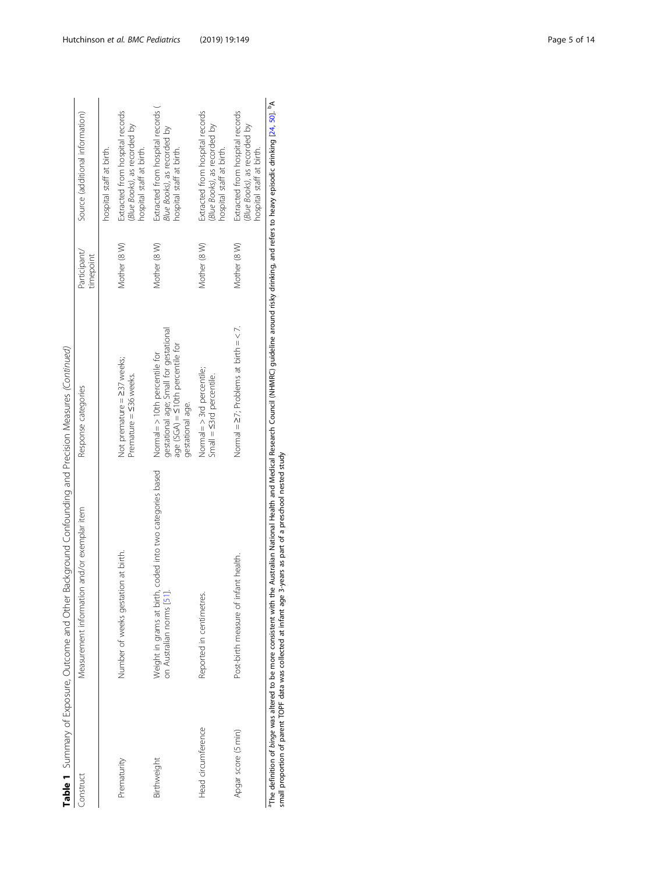| Table 1 Summary of Exposure, Outcome and Other | Background Confounding and Precision Measures (Continued)                                 |                                                                                                                                      |                           |                                                                                              |
|------------------------------------------------|-------------------------------------------------------------------------------------------|--------------------------------------------------------------------------------------------------------------------------------------|---------------------------|----------------------------------------------------------------------------------------------|
| Construct                                      | Measurement information and/or exemplar item                                              | Response categories                                                                                                                  | Participant/<br>timepoint | Source (additional information)                                                              |
|                                                |                                                                                           |                                                                                                                                      |                           | hospital staff at birth.                                                                     |
| Prematurity                                    | Number of weeks gestation at birth.                                                       | Not premature = 237 weeks;<br>Premature = <<br>So weeks.                                                                             | Mother (8 W)              | Extracted from hospital records<br>Blue Books), as recorded by<br>hospital staff at birth.   |
| Birthweight                                    | coded into two categories based<br>Weight in grams at birth,<br>on Australian norms [51]. | gestational age; Small for gestational<br>age $(SGA) = 510th$ percentile for<br>Normal $=$ > 10th percentile for<br>gestational age. | Mother (8 W)              | Extracted from hospital records (<br>Blue Books), as recorded by<br>hospital staff at birth. |
| Head circumference                             | Reported in centimetres.                                                                  | Normal = $>$ 3rd percentile;                                                                                                         | Mother (8 W)              | Extracted from hospital records<br>Blue Books), as recorded by<br>hospital staff at birth.   |
| Apgar score (5 min)                            | Post-birth measure of infant health.                                                      | Normal = $\geq$ 7; Problems at birth = < 7.                                                                                          | Mother (8 W)              | Extracted from hospital records<br>Blue Books), as recorded by<br>hospital staff at birth.   |

<sup>ቅ</sup>The definition of *binge* was altered to be more consistent with the Australian National Health and Medical Research Council (NHMRC) guideline around risky drinking, and refers to heavy episodic drinking [24, 50]. <sup>b</sup>A The definition of binge was altered to be more consistent with the Australian National Health and Medical Research Council (NHMRC) guideline around risky drinking, and refers to heavy episodic drinking [[24,](#page-13-0) [50](#page-13-0)].  $^{\rm b}$ A small proportion of parent TOPF data was collected at infant age 3-years as part of a preschool nested study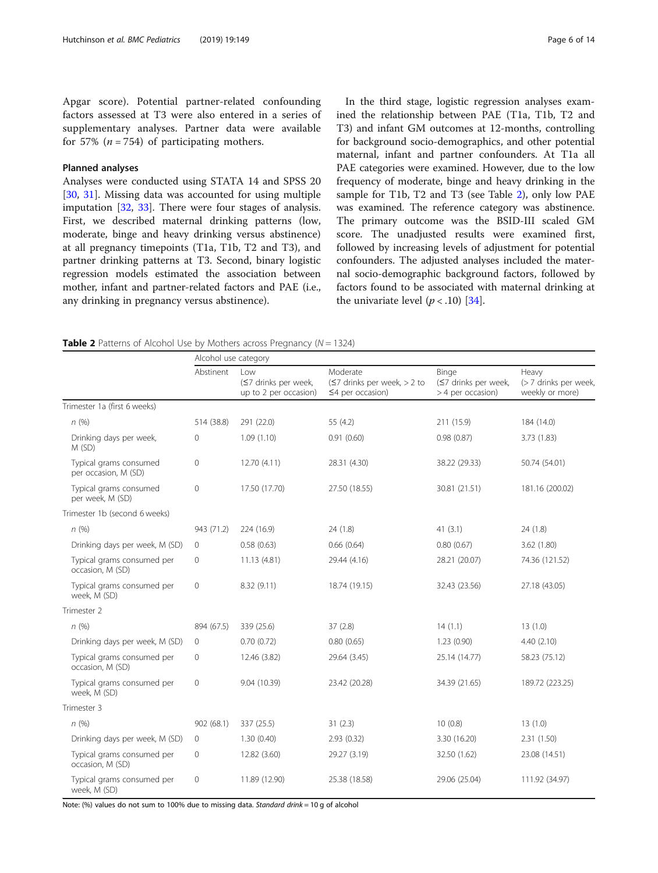<span id="page-5-0"></span>Apgar score). Potential partner-related confounding factors assessed at T3 were also entered in a series of supplementary analyses. Partner data were available for 57% ( $n = 754$ ) of participating mothers.

#### Planned analyses

Analyses were conducted using STATA 14 and SPSS 20 [[30,](#page-13-0) [31](#page-13-0)]. Missing data was accounted for using multiple imputation [\[32,](#page-13-0) [33\]](#page-13-0). There were four stages of analysis. First, we described maternal drinking patterns (low, moderate, binge and heavy drinking versus abstinence) at all pregnancy timepoints (T1a, T1b, T2 and T3), and partner drinking patterns at T3. Second, binary logistic regression models estimated the association between mother, infant and partner-related factors and PAE (i.e., any drinking in pregnancy versus abstinence).

In the third stage, logistic regression analyses examined the relationship between PAE (T1a, T1b, T2 and T3) and infant GM outcomes at 12-months, controlling for background socio-demographics, and other potential maternal, infant and partner confounders. At T1a all PAE categories were examined. However, due to the low frequency of moderate, binge and heavy drinking in the sample for T1b, T2 and T3 (see Table 2), only low PAE was examined. The reference category was abstinence. The primary outcome was the BSID-III scaled GM score. The unadjusted results were examined first, followed by increasing levels of adjustment for potential confounders. The adjusted analyses included the maternal socio-demographic background factors, followed by factors found to be associated with maternal drinking at the univariate level  $(p < .10)$  [\[34\]](#page-13-0).

**Table 2** Patterns of Alcohol Use by Mothers across Pregnancy ( $N = 1324$ )

|                                                |              | Alcohol use category                                  |                                                                       |                                                    |                                                   |
|------------------------------------------------|--------------|-------------------------------------------------------|-----------------------------------------------------------------------|----------------------------------------------------|---------------------------------------------------|
|                                                | Abstinent    | l ow<br>(≤7 drinks per week,<br>up to 2 per occasion) | Moderate<br>$(57$ drinks per week, $> 2$ to<br>$\leq$ 4 per occasion) | Binge<br>(≤7 drinks per week,<br>> 4 per occasion) | Heavy<br>(> 7 drinks per week,<br>weekly or more) |
| Trimester 1a (first 6 weeks)                   |              |                                                       |                                                                       |                                                    |                                                   |
| n(%)                                           | 514 (38.8)   | 291 (22.0)                                            | 55 (4.2)                                                              | 211 (15.9)                                         | 184 (14.0)                                        |
| Drinking days per week,<br>M(SD)               | $\mathbf 0$  | 1.09(1.10)                                            | 0.91(0.60)                                                            | 0.98(0.87)                                         | 3.73(1.83)                                        |
| Typical grams consumed<br>per occasion, M (SD) | 0            | 12.70 (4.11)                                          | 28.31 (4.30)                                                          | 38.22 (29.33)                                      | 50.74 (54.01)                                     |
| Typical grams consumed<br>per week, M (SD)     | $\mathbf 0$  | 17.50 (17.70)                                         | 27.50 (18.55)                                                         | 30.81 (21.51)                                      | 181.16 (200.02)                                   |
| Trimester 1b (second 6 weeks)                  |              |                                                       |                                                                       |                                                    |                                                   |
| n(%)                                           | 943 (71.2)   | 224 (16.9)                                            | 24(1.8)                                                               | 41(3.1)                                            | 24(1.8)                                           |
| Drinking days per week, M (SD)                 | 0            | 0.58(0.63)                                            | 0.66(0.64)                                                            | 0.80(0.67)                                         | 3.62(1.80)                                        |
| Typical grams consumed per<br>occasion, M (SD) | $\mathbf{0}$ | 11.13 (4.81)                                          | 29.44 (4.16)                                                          | 28.21 (20.07)                                      | 74.36 (121.52)                                    |
| Typical grams consumed per<br>week, M (SD)     | $\circ$      | 8.32(9.11)                                            | 18.74 (19.15)                                                         | 32.43 (23.56)                                      | 27.18 (43.05)                                     |
| Trimester 2                                    |              |                                                       |                                                                       |                                                    |                                                   |
| n(%)                                           | 894 (67.5)   | 339 (25.6)                                            | 37(2.8)                                                               | 14(1.1)                                            | 13(1.0)                                           |
| Drinking days per week, M (SD)                 | $\circ$      | 0.70(0.72)                                            | 0.80(0.65)                                                            | 1.23(0.90)                                         | 4.40(2.10)                                        |
| Typical grams consumed per<br>occasion, M (SD) | $\circ$      | 12.46 (3.82)                                          | 29.64 (3.45)                                                          | 25.14 (14.77)                                      | 58.23 (75.12)                                     |
| Typical grams consumed per<br>week, M (SD)     | $\mathbf{0}$ | 9.04 (10.39)                                          | 23.42 (20.28)                                                         | 34.39 (21.65)                                      | 189.72 (223.25)                                   |
| Trimester 3                                    |              |                                                       |                                                                       |                                                    |                                                   |
| n(%)                                           | 902(68.1)    | 337 (25.5)                                            | 31(2.3)                                                               | 10(0.8)                                            | 13(1.0)                                           |
| Drinking days per week, M (SD)                 | $\circ$      | 1.30(0.40)                                            | 2.93(0.32)                                                            | 3.30 (16.20)                                       | 2.31(1.50)                                        |
| Typical grams consumed per<br>occasion, M (SD) | 0            | 12.82 (3.60)                                          | 29.27 (3.19)                                                          | 32.50 (1.62)                                       | 23.08 (14.51)                                     |
| Typical grams consumed per<br>week, M (SD)     | 0            | 11.89 (12.90)                                         | 25.38 (18.58)                                                         | 29.06 (25.04)                                      | 111.92 (34.97)                                    |

Note: (%) values do not sum to 100% due to missing data. Standard drink = 10 g of alcohol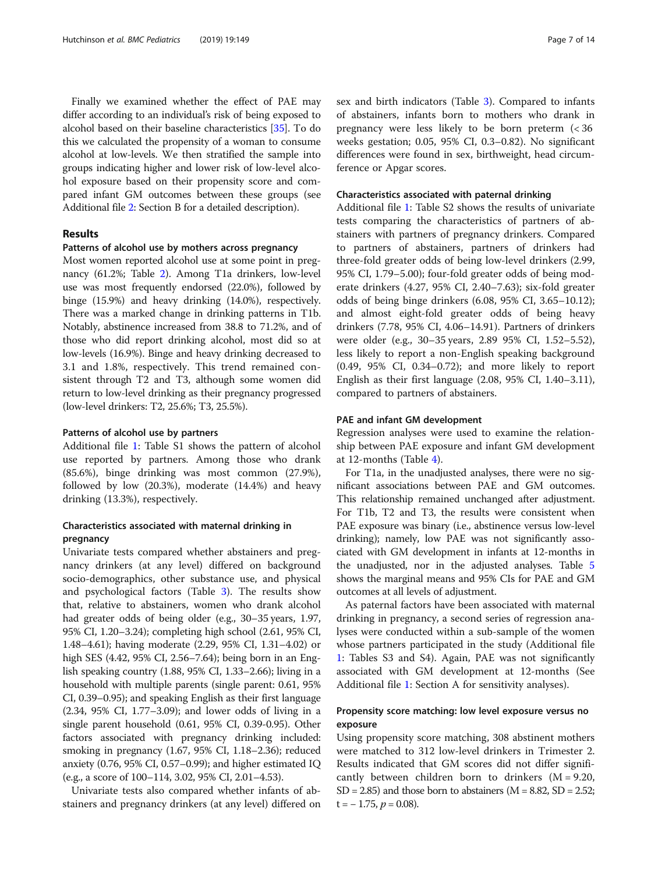Finally we examined whether the effect of PAE may differ according to an individual's risk of being exposed to alcohol based on their baseline characteristics [[35](#page-13-0)]. To do this we calculated the propensity of a woman to consume alcohol at low-levels. We then stratified the sample into groups indicating higher and lower risk of low-level alcohol exposure based on their propensity score and compared infant GM outcomes between these groups (see Additional file [2](#page-11-0): Section B for a detailed description).

## Results

#### Patterns of alcohol use by mothers across pregnancy

Most women reported alcohol use at some point in pregnancy (61.2%; Table [2\)](#page-5-0). Among T1a drinkers, low-level use was most frequently endorsed (22.0%), followed by binge (15.9%) and heavy drinking (14.0%), respectively. There was a marked change in drinking patterns in T1b. Notably, abstinence increased from 38.8 to 71.2%, and of those who did report drinking alcohol, most did so at low-levels (16.9%). Binge and heavy drinking decreased to 3.1 and 1.8%, respectively. This trend remained consistent through T2 and T3, although some women did return to low-level drinking as their pregnancy progressed (low-level drinkers: T2, 25.6%; T3, 25.5%).

#### Patterns of alcohol use by partners

Additional file [1:](#page-11-0) Table S1 shows the pattern of alcohol use reported by partners. Among those who drank (85.6%), binge drinking was most common (27.9%), followed by low (20.3%), moderate (14.4%) and heavy drinking (13.3%), respectively.

## Characteristics associated with maternal drinking in pregnancy

Univariate tests compared whether abstainers and pregnancy drinkers (at any level) differed on background socio-demographics, other substance use, and physical and psychological factors (Table [3](#page-7-0)). The results show that, relative to abstainers, women who drank alcohol had greater odds of being older (e.g., 30–35 years, 1.97, 95% CI, 1.20–3.24); completing high school (2.61, 95% CI, 1.48–4.61); having moderate (2.29, 95% CI, 1.31–4.02) or high SES (4.42, 95% CI, 2.56–7.64); being born in an English speaking country (1.88, 95% CI, 1.33–2.66); living in a household with multiple parents (single parent: 0.61, 95% CI, 0.39–0.95); and speaking English as their first language (2.34, 95% CI, 1.77–3.09); and lower odds of living in a single parent household (0.61, 95% CI, 0.39-0.95). Other factors associated with pregnancy drinking included: smoking in pregnancy (1.67, 95% CI, 1.18–2.36); reduced anxiety (0.76, 95% CI, 0.57–0.99); and higher estimated IQ (e.g., a score of 100–114, 3.02, 95% CI, 2.01–4.53).

Univariate tests also compared whether infants of abstainers and pregnancy drinkers (at any level) differed on sex and birth indicators (Table [3\)](#page-7-0). Compared to infants of abstainers, infants born to mothers who drank in pregnancy were less likely to be born preterm (< 36 weeks gestation; 0.05, 95% CI, 0.3–0.82). No significant differences were found in sex, birthweight, head circumference or Apgar scores.

## Characteristics associated with paternal drinking

Additional file [1](#page-11-0): Table S2 shows the results of univariate tests comparing the characteristics of partners of abstainers with partners of pregnancy drinkers. Compared to partners of abstainers, partners of drinkers had three-fold greater odds of being low-level drinkers (2.99, 95% CI, 1.79–5.00); four-fold greater odds of being moderate drinkers (4.27, 95% CI, 2.40–7.63); six-fold greater odds of being binge drinkers (6.08, 95% CI, 3.65–10.12); and almost eight-fold greater odds of being heavy drinkers (7.78, 95% CI, 4.06–14.91). Partners of drinkers were older (e.g., 30–35 years, 2.89 95% CI, 1.52–5.52), less likely to report a non-English speaking background (0.49, 95% CI, 0.34–0.72); and more likely to report English as their first language (2.08, 95% CI, 1.40–3.11), compared to partners of abstainers.

### PAE and infant GM development

Regression analyses were used to examine the relationship between PAE exposure and infant GM development at 12-months (Table [4\)](#page-9-0).

For T1a, in the unadjusted analyses, there were no significant associations between PAE and GM outcomes. This relationship remained unchanged after adjustment. For T1b, T2 and T3, the results were consistent when PAE exposure was binary (i.e., abstinence versus low-level drinking); namely, low PAE was not significantly associated with GM development in infants at 12-months in the unadjusted, nor in the adjusted analyses. Table [5](#page-10-0) shows the marginal means and 95% CIs for PAE and GM outcomes at all levels of adjustment.

As paternal factors have been associated with maternal drinking in pregnancy, a second series of regression analyses were conducted within a sub-sample of the women whose partners participated in the study (Additional file [1:](#page-11-0) Tables S3 and S4). Again, PAE was not significantly associated with GM development at 12-months (See Additional file [1](#page-11-0): Section A for sensitivity analyses).

## Propensity score matching: low level exposure versus no exposure

Using propensity score matching, 308 abstinent mothers were matched to 312 low-level drinkers in Trimester 2. Results indicated that GM scores did not differ significantly between children born to drinkers  $(M = 9.20,$  $SD = 2.85$ ) and those born to abstainers ( $M = 8.82$ ,  $SD = 2.52$ ;  $t = -1.75, p = 0.08$ ).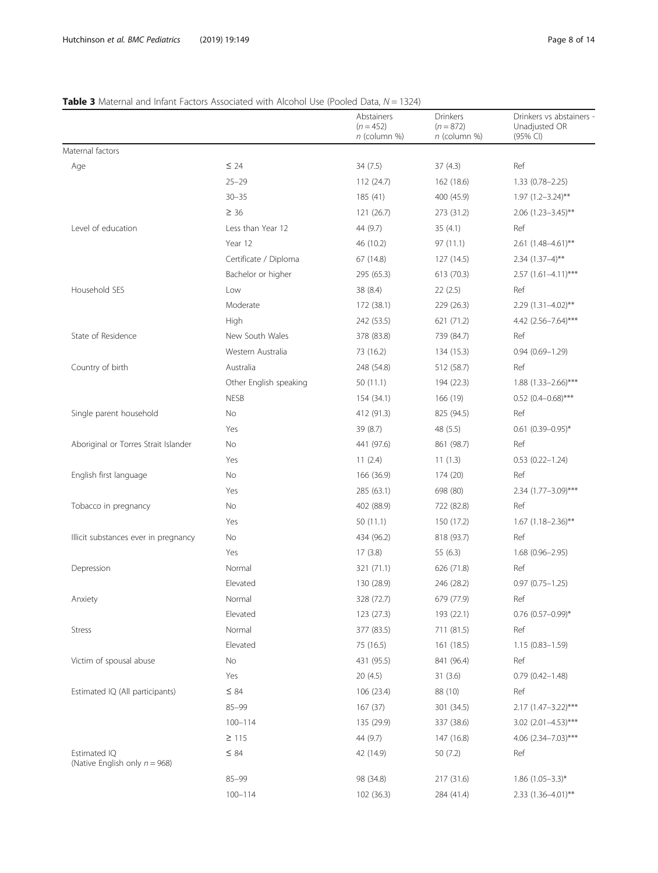## <span id="page-7-0"></span>**Table 3** Maternal and Infant Factors Associated with Alcohol Use (Pooled Data,  $N = 1324$ )

|                                                  |                        | Abstainers<br>$(n = 452)$<br>$n$ (column %) | Drinkers<br>$(n = 872)$<br>$n$ (column %) | Drinkers vs abstainers -<br>Unadjusted OR<br>(95% CI) |
|--------------------------------------------------|------------------------|---------------------------------------------|-------------------------------------------|-------------------------------------------------------|
| Maternal factors                                 |                        |                                             |                                           |                                                       |
| Age                                              | $\leq 24$              | 34(7.5)                                     | 37(4.3)                                   | Ref                                                   |
|                                                  | $25 - 29$              | 112(24.7)                                   | 162 (18.6)                                | $1.33(0.78 - 2.25)$                                   |
|                                                  | $30 - 35$              | 185 (41)                                    | 400 (45.9)                                | $1.97(1.2 - 3.24)$ **                                 |
|                                                  | $\geq 36$              | 121(26.7)                                   | 273 (31.2)                                | $2.06$ (1.23-3.45)**                                  |
| Level of education                               | Less than Year 12      | 44 (9.7)                                    | 35(4.1)                                   | Ref                                                   |
|                                                  | Year 12                | 46 (10.2)                                   | 97 (11.1)                                 | $2.61$ (1.48-4.61)**                                  |
|                                                  | Certificate / Diploma  | 67 (14.8)                                   | 127 (14.5)                                | $2.34$ (1.37-4)**                                     |
|                                                  | Bachelor or higher     | 295 (65.3)                                  | 613 (70.3)                                | $2.57$ (1.61-4.11)***                                 |
| Household SES                                    | Low                    | 38 (8.4)                                    | 22 (2.5)                                  | Ref                                                   |
|                                                  | Moderate               | 172 (38.1)                                  | 229 (26.3)                                | 2.29 (1.31-4.02)**                                    |
|                                                  | High                   | 242 (53.5)                                  | 621 (71.2)                                | 4.42 (2.56-7.64)***                                   |
| State of Residence                               | New South Wales        | 378 (83.8)                                  | 739 (84.7)                                | Ref                                                   |
|                                                  | Western Australia      | 73 (16.2)                                   | 134 (15.3)                                | $0.94(0.69 - 1.29)$                                   |
| Country of birth                                 | Australia              | 248 (54.8)                                  | 512 (58.7)                                | Ref                                                   |
|                                                  | Other English speaking | 50(11.1)                                    | 194 (22.3)                                | $1.88$ (1.33-2.66)***                                 |
|                                                  | <b>NESB</b>            | 154 (34.1)                                  | 166 (19)                                  | $0.52$ (0.4-0.68)***                                  |
| Single parent household                          | No                     | 412 (91.3)                                  | 825 (94.5)                                | Ref                                                   |
|                                                  | Yes                    | 39 (8.7)                                    | 48 (5.5)                                  | $0.61$ $(0.39 - 0.95)^*$                              |
| Aboriginal or Torres Strait Islander             | <b>No</b>              | 441 (97.6)                                  | 861 (98.7)                                | Ref                                                   |
|                                                  | Yes                    | 11(2.4)                                     | 11(1.3)                                   | $0.53(0.22 - 1.24)$                                   |
| English first language                           | No                     | 166 (36.9)                                  | 174 (20)                                  | Ref                                                   |
|                                                  | Yes                    | 285 (63.1)                                  | 698 (80)                                  | 2.34 (1.77-3.09)***                                   |
| Tobacco in pregnancy                             | No                     | 402 (88.9)                                  | 722 (82.8)                                | Ref                                                   |
|                                                  | Yes                    | 50(11.1)                                    | 150 (17.2)                                | $1.67$ (1.18-2.36)**                                  |
| Illicit substances ever in pregnancy             | No                     | 434 (96.2)                                  | 818 (93.7)                                | Ref                                                   |
|                                                  | Yes                    | 17(3.8)                                     | 55 (6.3)                                  | $1.68(0.96 - 2.95)$                                   |
| Depression                                       | Normal                 | 321 (71.1)                                  | 626 (71.8)                                | Ref                                                   |
|                                                  | Elevated               | 130 (28.9)                                  | 246 (28.2)                                | $0.97(0.75 - 1.25)$                                   |
| Anxiety                                          | Normal                 | 328 (72.7)                                  | 679 (77.9)                                | Ref                                                   |
|                                                  | Elevated               | 123(27.3)                                   | 193 (22.1)                                | $0.76$ (0.57-0.99)*                                   |
| <b>Stress</b>                                    | Normal                 | 377 (83.5)                                  | 711 (81.5)                                | Ref                                                   |
|                                                  | Elevated               | 75 (16.5)                                   | 161(18.5)                                 | $1.15(0.83 - 1.59)$                                   |
| Victim of spousal abuse                          | No                     | 431 (95.5)                                  | 841 (96.4)                                | Ref                                                   |
|                                                  | Yes                    | 20 (4.5)                                    | 31(3.6)                                   | $0.79(0.42 - 1.48)$                                   |
| Estimated IQ (All participants)                  | $\leq$ 84              | 106 (23.4)                                  | 88 (10)                                   | Ref                                                   |
|                                                  | $85 - 99$              | 167(37)                                     | 301 (34.5)                                | 2.17 (1.47-3.22)***                                   |
|                                                  | $100 - 114$            | 135 (29.9)                                  | 337 (38.6)                                | $3.02$ (2.01-4.53)***                                 |
|                                                  | $\geq$ 115             | 44 (9.7)                                    | 147 (16.8)                                | 4.06 (2.34-7.03)***                                   |
| Estimated IQ<br>(Native English only $n = 968$ ) | $\leq$ 84              | 42 (14.9)                                   | 50(7.2)                                   | Ref                                                   |
|                                                  | $85 - 99$              | 98 (34.8)                                   | 217 (31.6)                                | $1.86$ (1.05-3.3)*                                    |
|                                                  | $100 - 114$            | 102 (36.3)                                  | 284 (41.4)                                | $2.33$ (1.36-4.01)**                                  |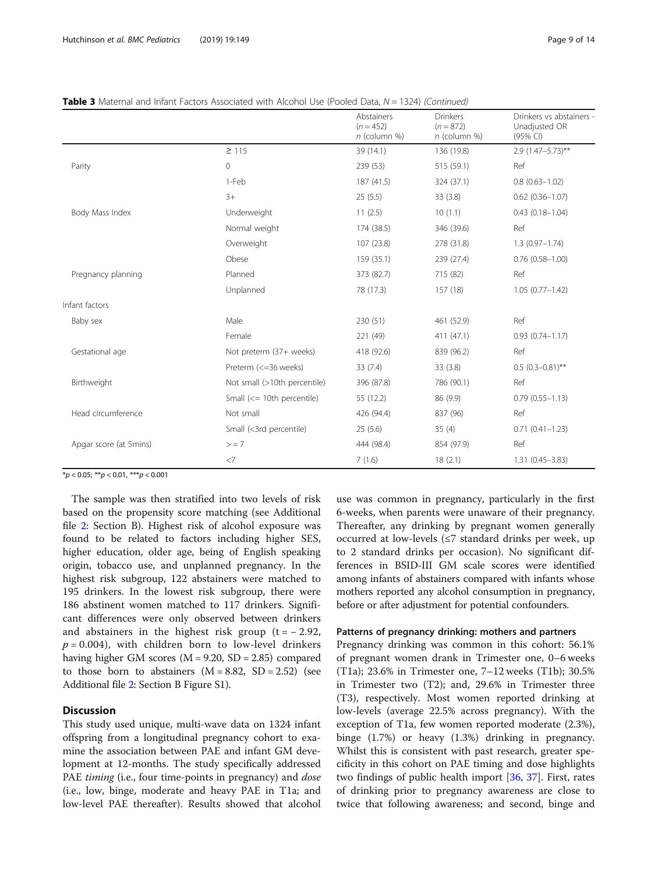|                        |                                   | Abstainers<br>$(n = 452)$<br>$n$ (column %) | <b>Drinkers</b><br>$(n = 872)$<br>$n$ (column %) | Drinkers vs abstainers -<br>Unadjusted OR<br>(95% CI) |
|------------------------|-----------------------------------|---------------------------------------------|--------------------------------------------------|-------------------------------------------------------|
|                        | $\geq$ 115                        | 39 (14.1)                                   | 136 (19.8)                                       | $2.9(1.47 - 5.73)$ **                                 |
| Parity                 | $\overline{0}$                    | 239 (53)                                    | 515 (59.1)                                       | Ref                                                   |
|                        | 1-Feb                             | 187(41.5)                                   | 324 (37.1)                                       | $0.8(0.63 - 1.02)$                                    |
|                        | $3+$                              | 25(5.5)                                     | 33(3.8)                                          | $0.62$ $(0.36 - 1.07)$                                |
| Body Mass Index        | Underweight                       | 11(2.5)                                     | 10(1.1)                                          | $0.43(0.18 - 1.04)$                                   |
|                        | Normal weight                     | 174 (38.5)                                  | 346 (39.6)                                       | Ref                                                   |
|                        | Overweight                        | 107 (23.8)                                  | 278 (31.8)                                       | $1.3(0.97 - 1.74)$                                    |
|                        | Obese                             | 159 (35.1)                                  | 239 (27.4)                                       | $0.76(0.58 - 1.00)$                                   |
| Pregnancy planning     | Planned                           | 373 (82.7)                                  | 715 (82)                                         | Ref                                                   |
|                        | Unplanned                         | 78 (17.3)                                   | 157 (18)                                         | $1.05(0.77 - 1.42)$                                   |
| Infant factors         |                                   |                                             |                                                  |                                                       |
| Baby sex               | Male                              | 230 (51)                                    | 461 (52.9)                                       | Ref                                                   |
|                        | Female                            | 221 (49)                                    | 411 (47.1)                                       | $0.93(0.74 - 1.17)$                                   |
| Gestational age        | Not preterm (37+ weeks)           | 418 (92.6)                                  | 839 (96.2)                                       | Ref                                                   |
|                        | Preterm (<= 36 weeks)             | 33 (7.4)                                    | 33 (3.8)                                         | $0.5(0.3 - 0.81)$ **                                  |
| Birthweight            | Not small (>10th percentile)      | 396 (87.8)                                  | 786 (90.1)                                       | Ref                                                   |
|                        | Small $\left(<=10$ th percentile) | 55 (12.2)                                   | 86 (9.9)                                         | $0.79(0.55 - 1.13)$                                   |
| Head circumference     | Not small                         | 426 (94.4)                                  | 837 (96)                                         | Ref                                                   |
|                        | Small (<3rd percentile)           | 25(5.6)                                     | 35(4)                                            | $0.71(0.41 - 1.23)$                                   |
| Apgar score (at 5mins) | $> = 7$                           | 444 (98.4)                                  | 854 (97.9)                                       | Ref                                                   |
|                        | $<$ 7                             | 7(1.6)                                      | 18(2.1)                                          | $1.31(0.45 - 3.83)$                                   |

**Table 3** Maternal and Infant Factors Associated with Alcohol Use (Pooled Data,  $N = 1324$ ) (Continued)

 $*p < 0.05; **p < 0.01, **p < 0.001$ 

The sample was then stratified into two levels of risk based on the propensity score matching (see Additional file [2](#page-11-0): Section B). Highest risk of alcohol exposure was found to be related to factors including higher SES, higher education, older age, being of English speaking origin, tobacco use, and unplanned pregnancy. In the highest risk subgroup, 122 abstainers were matched to 195 drinkers. In the lowest risk subgroup, there were 186 abstinent women matched to 117 drinkers. Significant differences were only observed between drinkers and abstainers in the highest risk group  $(t = -2.92)$ ,  $p = 0.004$ ), with children born to low-level drinkers having higher GM scores  $(M = 9.20, SD = 2.85)$  compared to those born to abstainers  $(M = 8.82, SD = 2.52)$  (see Additional file [2](#page-11-0): Section B Figure S1).

## **Discussion**

This study used unique, multi-wave data on 1324 infant offspring from a longitudinal pregnancy cohort to examine the association between PAE and infant GM development at 12-months. The study specifically addressed PAE *timing* (i.e., four time-points in pregnancy) and *dose* (i.e., low, binge, moderate and heavy PAE in T1a; and low-level PAE thereafter). Results showed that alcohol

use was common in pregnancy, particularly in the first 6-weeks, when parents were unaware of their pregnancy. Thereafter, any drinking by pregnant women generally occurred at low-levels (≤7 standard drinks per week, up to 2 standard drinks per occasion). No significant differences in BSID-III GM scale scores were identified among infants of abstainers compared with infants whose mothers reported any alcohol consumption in pregnancy, before or after adjustment for potential confounders.

## Patterns of pregnancy drinking: mothers and partners

Pregnancy drinking was common in this cohort: 56.1% of pregnant women drank in Trimester one, 0–6 weeks (T1a); 23.6% in Trimester one, 7–12 weeks (T1b); 30.5% in Trimester two (T2); and, 29.6% in Trimester three (T3), respectively. Most women reported drinking at low-levels (average 22.5% across pregnancy). With the exception of T1a, few women reported moderate (2.3%), binge (1.7%) or heavy (1.3%) drinking in pregnancy. Whilst this is consistent with past research, greater specificity in this cohort on PAE timing and dose highlights two findings of public health import [[36](#page-13-0), [37\]](#page-13-0). First, rates of drinking prior to pregnancy awareness are close to twice that following awareness; and second, binge and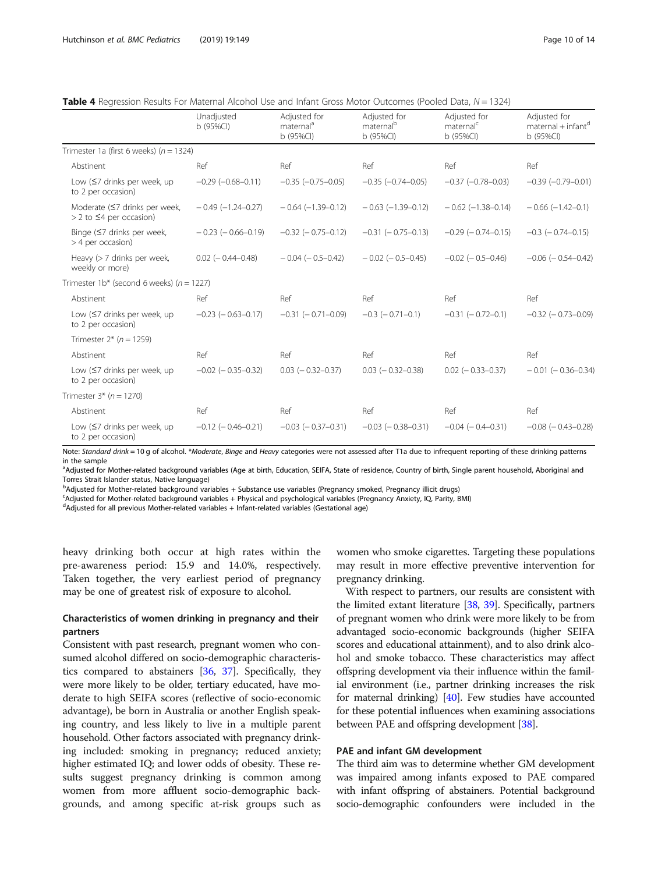|  | . . <u>.</u> |  |
|--|--------------|--|
|  |              |  |
|  |              |  |
|  |              |  |

<span id="page-9-0"></span>Table 4 Regression Results For Maternal Alcohol Use and Infant Gross Motor Outcomes (Pooled Data, N = 1324)

|                                                                  | Unadjusted                 | Adjusted for                         | Adjusted for                         | Adjusted for                         | Adjusted for                                  |
|------------------------------------------------------------------|----------------------------|--------------------------------------|--------------------------------------|--------------------------------------|-----------------------------------------------|
|                                                                  | $b$ (95%CI)                | maternal <sup>a</sup><br>$b$ (95%CI) | maternal <sup>b</sup><br>$b$ (95%CI) | maternal <sup>c</sup><br>$b$ (95%CI) | maternal + infant <sup>d</sup><br>$b$ (95%CI) |
| Trimester 1a (first 6 weeks) ( $n = 1324$ )                      |                            |                                      |                                      |                                      |                                               |
| Abstinent                                                        | Ref                        | Ref                                  | Ref                                  | Ref                                  | Ref                                           |
| Low (≤7 drinks per week, up<br>to 2 per occasion)                | $-0.29$ $(-0.68 - 0.11)$   | $-0.35$ $(-0.75 - 0.05)$             | $-0.35$ ( $-0.74-0.05$ )             | $-0.37$ $(-0.78 - 0.03)$             | $-0.39$ $(-0.79 - 0.01)$                      |
| Moderate (≤7 drinks per week,<br>$>$ 2 to $\leq$ 4 per occasion) | $-0.49(-1.24-0.27)$        | $-0.64$ ( $-1.39-0.12$ )             | $-0.63$ (-1.39-0.12)                 | $-0.62(-1.38-0.14)$                  | $-0.66(-1.42-0.1)$                            |
| Binge (≤7 drinks per week,<br>> 4 per occasion)                  | $-0.23$ ( $-0.66 - 0.19$ ) | $-0.32$ ( $-0.75-0.12$ )             | $-0.31$ ( $-0.75-0.13$ )             | $-0.29$ ( $-0.74-0.15$ )             | $-0.3$ ( $-0.74-0.15$ )                       |
| Heavy (> 7 drinks per week,<br>weekly or more)                   | $0.02$ ( $-0.44 - 0.48$ )  | $-0.04$ ( $-0.5-0.42$ )              | $-0.02$ ( $-0.5-0.45$ )              | $-0.02$ ( $-0.5-0.46$ )              | $-0.06$ ( $-0.54-0.42$ )                      |
| Trimester $1b^*$ (second 6 weeks) ( $n = 1227$ )                 |                            |                                      |                                      |                                      |                                               |
| Abstinent                                                        | Ref                        | Ref                                  | Ref                                  | Ref                                  | Ref                                           |
| Low (≤7 drinks per week, up<br>to 2 per occasion)                | $-0.23$ ( $-0.63-0.17$ )   | $-0.31$ $(-0.71 - 0.09)$             | $-0.3$ ( $-0.71-0.1$ )               | $-0.31$ $(-0.72-0.1)$                | $-0.32$ ( $-0.73-0.09$ )                      |
| Trimester $2^*$ (n = 1259)                                       |                            |                                      |                                      |                                      |                                               |
| Abstinent                                                        | Ref                        | Ref                                  | Ref                                  | Ref                                  | Ref                                           |
| Low (≤7 drinks per week, up<br>to 2 per occasion)                | $-0.02$ ( $-0.35-0.32$ )   | $0.03$ ( $-0.32 - 0.37$ )            | $0.03$ ( $-0.32 - 0.38$ )            | $0.02$ ( $-0.33 - 0.37$ )            | $-0.01$ ( $-0.36 - 0.34$ )                    |
| Trimester $3* (n = 1270)$                                        |                            |                                      |                                      |                                      |                                               |
| Abstinent                                                        | Ref                        | Ref                                  | Ref                                  | Ref                                  | Ref                                           |
| Low (≤7 drinks per week, up<br>to 2 per occasion)                | $-0.12$ ( $-0.46 - 0.21$ ) | $-0.03$ ( $-0.37-0.31$ )             | $-0.03$ ( $-0.38-0.31$ )             | $-0.04$ ( $-0.4-0.31$ )              | $-0.08$ ( $-0.43-0.28$ )                      |

Note: Standard drink = 10 g of alcohol. \*Moderate, Binge and Heavy categories were not assessed after T1a due to infrequent reporting of these drinking patterns in the sample

a<br>Adjusted for Mother-related background variables (Age at birth, Education, SEIFA, State of residence, Country of birth, Single parent household, Aboriginal and Torres Strait Islander status, Native language)

b Adjusted for Mother-related background variables + Substance use variables (Pregnancy smoked, Pregnancy illicit drugs)

c Adjusted for Mother-related background variables + Physical and psychological variables (Pregnancy Anxiety, IQ, Parity, BMI)

<sup>d</sup>Adjusted for all previous Mother-related variables + Infant-related variables (Gestational age)

heavy drinking both occur at high rates within the pre-awareness period: 15.9 and 14.0%, respectively. Taken together, the very earliest period of pregnancy may be one of greatest risk of exposure to alcohol.

## Characteristics of women drinking in pregnancy and their partners

Consistent with past research, pregnant women who consumed alcohol differed on socio-demographic characteristics compared to abstainers [[36](#page-13-0), [37\]](#page-13-0). Specifically, they were more likely to be older, tertiary educated, have moderate to high SEIFA scores (reflective of socio-economic advantage), be born in Australia or another English speaking country, and less likely to live in a multiple parent household. Other factors associated with pregnancy drinking included: smoking in pregnancy; reduced anxiety; higher estimated IQ; and lower odds of obesity. These results suggest pregnancy drinking is common among women from more affluent socio-demographic backgrounds, and among specific at-risk groups such as

women who smoke cigarettes. Targeting these populations may result in more effective preventive intervention for pregnancy drinking.

With respect to partners, our results are consistent with the limited extant literature [[38](#page-13-0), [39\]](#page-13-0). Specifically, partners of pregnant women who drink were more likely to be from advantaged socio-economic backgrounds (higher SEIFA scores and educational attainment), and to also drink alcohol and smoke tobacco. These characteristics may affect offspring development via their influence within the familial environment (i.e., partner drinking increases the risk for maternal drinking) [\[40\]](#page-13-0). Few studies have accounted for these potential influences when examining associations between PAE and offspring development [\[38\]](#page-13-0).

## PAE and infant GM development

The third aim was to determine whether GM development was impaired among infants exposed to PAE compared with infant offspring of abstainers. Potential background socio-demographic confounders were included in the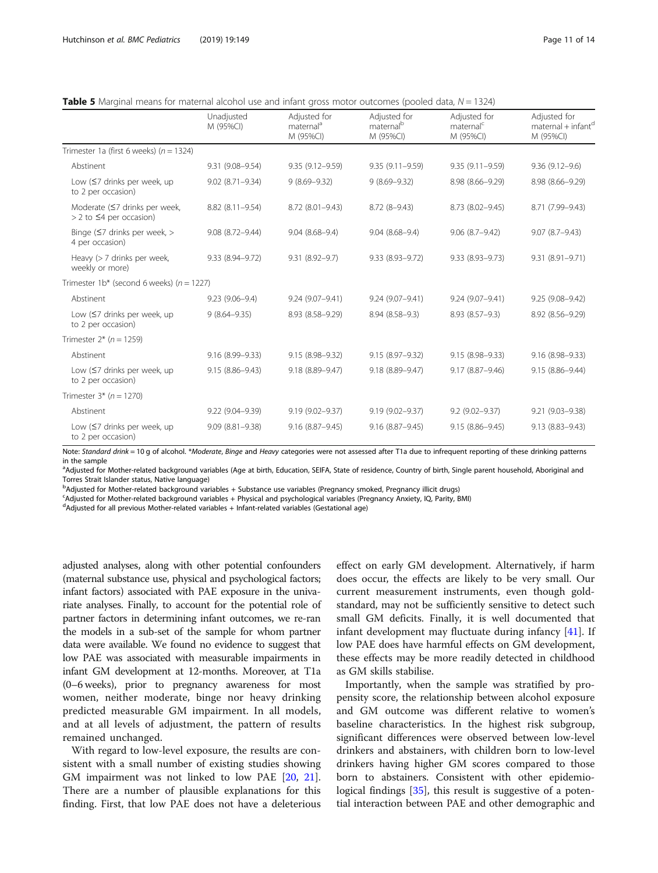<span id="page-10-0"></span>**Table 5** Marginal means for maternal alcohol use and infant gross motor outcomes (pooled data,  $N = 1324$ )

|                                                                  | Unadjusted<br>M (95%CI) | Adjusted for<br>maternal <sup>a</sup><br>M (95%CI) | Adjusted for<br>maternal <sup>b</sup><br>M (95%CI) | Adjusted for<br>maternal <sup>c</sup><br>M (95%CI) | Adjusted for<br>$material + infantd$<br>M (95%CI) |
|------------------------------------------------------------------|-------------------------|----------------------------------------------------|----------------------------------------------------|----------------------------------------------------|---------------------------------------------------|
| Trimester 1a (first 6 weeks) ( $n = 1324$ )                      |                         |                                                    |                                                    |                                                    |                                                   |
| Abstinent                                                        | 9.31 (9.08-9.54)        | $9.35(9.12 - 9.59)$                                | $9.35(9.11 - 9.59)$                                | $9.35(9.11 - 9.59)$                                | $9.36(9.12 - 9.6)$                                |
| Low (≤7 drinks per week, up<br>to 2 per occasion)                | $9.02(8.71 - 9.34)$     | $9(8.69 - 9.32)$                                   | $9(8.69 - 9.32)$                                   | 8.98 (8.66-9.29)                                   | 8.98 (8.66-9.29)                                  |
| Moderate (≤7 drinks per week,<br>$>$ 2 to $\leq$ 4 per occasion) | $8.82(8.11 - 9.54)$     | $8.72(8.01 - 9.43)$                                | $8.72(8-9.43)$                                     | 8.73 (8.02-9.45)                                   | 8.71 (7.99-9.43)                                  |
| Binge ( $\leq$ 7 drinks per week, ><br>4 per occasion)           | $9.08(8.72 - 9.44)$     | $9.04(8.68 - 9.4)$                                 | $9.04(8.68 - 9.4)$                                 | $9.06(8.7 - 9.42)$                                 | $9.07(8.7-9.43)$                                  |
| Heavy (> 7 drinks per week,<br>weekly or more)                   | 9.33 (8.94-9.72)        | $9.31(8.92 - 9.7)$                                 | 9.33 (8.93-9.72)                                   | 9.33 (8.93-9.73)                                   | $9.31(8.91 - 9.71)$                               |
| Trimester $1b^*$ (second 6 weeks) ( $n = 1227$ )                 |                         |                                                    |                                                    |                                                    |                                                   |
| Abstinent                                                        | $9.23(9.06 - 9.4)$      | $9.24(9.07 - 9.41)$                                | 9.24 (9.07-9.41)                                   | 9.24 (9.07-9.41)                                   | $9.25(9.08 - 9.42)$                               |
| Low (≤7 drinks per week, up<br>to 2 per occasion)                | $9(8.64 - 9.35)$        | 8.93 (8.58-9.29)                                   | 8.94 (8.58-9.3)                                    | 8.93 (8.57-9.3)                                    | 8.92 (8.56-9.29)                                  |
| Trimester $2^*$ (n = 1259)                                       |                         |                                                    |                                                    |                                                    |                                                   |
| Abstinent                                                        | 9.16 (8.99-9.33)        | 9.15 (8.98-9.32)                                   | 9.15 (8.97-9.32)                                   | 9.15 (8.98-9.33)                                   | $9.16(8.98 - 9.33)$                               |
| Low (≤7 drinks per week, up<br>to 2 per occasion)                | $9.15(8.86 - 9.43)$     | 9.18 (8.89-9.47)                                   | 9.18 (8.89-9.47)                                   | $9.17(8.87 - 9.46)$                                | $9.15(8.86 - 9.44)$                               |
| Trimester $3* (n = 1270)$                                        |                         |                                                    |                                                    |                                                    |                                                   |
| Abstinent                                                        | 9.22 (9.04-9.39)        | 9.19 (9.02-9.37)                                   | 9.19 (9.02-9.37)                                   | $9.2(9.02 - 9.37)$                                 | 9.21 (9.03-9.38)                                  |
| Low (≤7 drinks per week, up<br>to 2 per occasion)                | $9.09(8.81 - 9.38)$     | $9.16(8.87 - 9.45)$                                | $9.16(8.87 - 9.45)$                                | $9.15(8.86 - 9.45)$                                | $9.13(8.83 - 9.43)$                               |

Note: Standard drink = 10 g of alcohol. \*Moderate, Binge and Heavy categories were not assessed after T1a due to infrequent reporting of these drinking patterns in the sample

a<br>Adjusted for Mother-related background variables (Age at birth, Education, SEIFA, State of residence, Country of birth, Single parent household, Aboriginal and Torres Strait Islander status, Native language)

b Adjusted for Mother-related background variables + Substance use variables (Pregnancy smoked, Pregnancy illicit drugs)

c Adjusted for Mother-related background variables + Physical and psychological variables (Pregnancy Anxiety, IQ, Parity, BMI)

<sup>d</sup>Adjusted for all previous Mother-related variables + Infant-related variables (Gestational age)

adjusted analyses, along with other potential confounders (maternal substance use, physical and psychological factors; infant factors) associated with PAE exposure in the univariate analyses. Finally, to account for the potential role of partner factors in determining infant outcomes, we re-ran the models in a sub-set of the sample for whom partner data were available. We found no evidence to suggest that low PAE was associated with measurable impairments in infant GM development at 12-months. Moreover, at T1a (0–6 weeks), prior to pregnancy awareness for most women, neither moderate, binge nor heavy drinking predicted measurable GM impairment. In all models, and at all levels of adjustment, the pattern of results remained unchanged.

With regard to low-level exposure, the results are consistent with a small number of existing studies showing GM impairment was not linked to low PAE [\[20](#page-12-0), [21](#page-12-0)]. There are a number of plausible explanations for this finding. First, that low PAE does not have a deleterious effect on early GM development. Alternatively, if harm does occur, the effects are likely to be very small. Our current measurement instruments, even though goldstandard, may not be sufficiently sensitive to detect such small GM deficits. Finally, it is well documented that infant development may fluctuate during infancy [[41\]](#page-13-0). If low PAE does have harmful effects on GM development, these effects may be more readily detected in childhood as GM skills stabilise.

Importantly, when the sample was stratified by propensity score, the relationship between alcohol exposure and GM outcome was different relative to women's baseline characteristics. In the highest risk subgroup, significant differences were observed between low-level drinkers and abstainers, with children born to low-level drinkers having higher GM scores compared to those born to abstainers. Consistent with other epidemio-logical findings [[35\]](#page-13-0), this result is suggestive of a potential interaction between PAE and other demographic and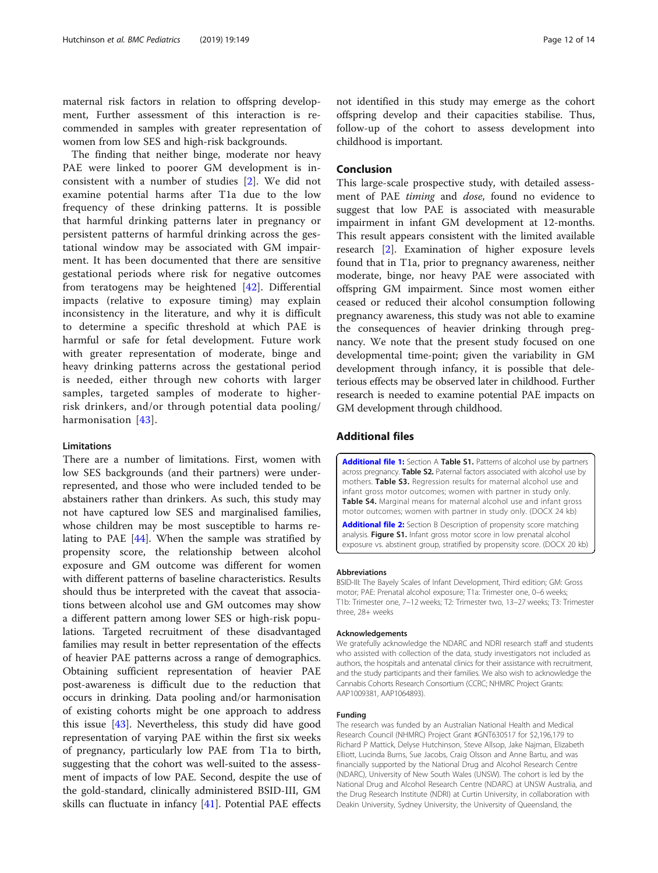<span id="page-11-0"></span>maternal risk factors in relation to offspring development, Further assessment of this interaction is recommended in samples with greater representation of women from low SES and high-risk backgrounds.

The finding that neither binge, moderate nor heavy PAE were linked to poorer GM development is inconsistent with a number of studies [[2\]](#page-12-0). We did not examine potential harms after T1a due to the low frequency of these drinking patterns. It is possible that harmful drinking patterns later in pregnancy or persistent patterns of harmful drinking across the gestational window may be associated with GM impairment. It has been documented that there are sensitive gestational periods where risk for negative outcomes from teratogens may be heightened [[42\]](#page-13-0). Differential impacts (relative to exposure timing) may explain inconsistency in the literature, and why it is difficult to determine a specific threshold at which PAE is harmful or safe for fetal development. Future work with greater representation of moderate, binge and heavy drinking patterns across the gestational period is needed, either through new cohorts with larger samples, targeted samples of moderate to higherrisk drinkers, and/or through potential data pooling/ harmonisation [\[43\]](#page-13-0).

## Limitations

There are a number of limitations. First, women with low SES backgrounds (and their partners) were underrepresented, and those who were included tended to be abstainers rather than drinkers. As such, this study may not have captured low SES and marginalised families, whose children may be most susceptible to harms relating to PAE [[44\]](#page-13-0). When the sample was stratified by propensity score, the relationship between alcohol exposure and GM outcome was different for women with different patterns of baseline characteristics. Results should thus be interpreted with the caveat that associations between alcohol use and GM outcomes may show a different pattern among lower SES or high-risk populations. Targeted recruitment of these disadvantaged families may result in better representation of the effects of heavier PAE patterns across a range of demographics. Obtaining sufficient representation of heavier PAE post-awareness is difficult due to the reduction that occurs in drinking. Data pooling and/or harmonisation of existing cohorts might be one approach to address this issue [\[43\]](#page-13-0). Nevertheless, this study did have good representation of varying PAE within the first six weeks of pregnancy, particularly low PAE from T1a to birth, suggesting that the cohort was well-suited to the assessment of impacts of low PAE. Second, despite the use of the gold-standard, clinically administered BSID-III, GM skills can fluctuate in infancy [[41\]](#page-13-0). Potential PAE effects

not identified in this study may emerge as the cohort offspring develop and their capacities stabilise. Thus, follow-up of the cohort to assess development into childhood is important.

## Conclusion

This large-scale prospective study, with detailed assessment of PAE timing and dose, found no evidence to suggest that low PAE is associated with measurable impairment in infant GM development at 12-months. This result appears consistent with the limited available research [[2\]](#page-12-0). Examination of higher exposure levels found that in T1a, prior to pregnancy awareness, neither moderate, binge, nor heavy PAE were associated with offspring GM impairment. Since most women either ceased or reduced their alcohol consumption following pregnancy awareness, this study was not able to examine the consequences of heavier drinking through pregnancy. We note that the present study focused on one developmental time-point; given the variability in GM development through infancy, it is possible that deleterious effects may be observed later in childhood. Further research is needed to examine potential PAE impacts on GM development through childhood.

## Additional files

[Additional file 1:](https://doi.org/10.1186/s12887-019-1516-5) Section A Table S1. Patterns of alcohol use by partners across pregnancy. **Table S2.** Paternal factors associated with alcohol use by mothers. Table S3. Regression results for maternal alcohol use and infant gross motor outcomes; women with partner in study only. Table S4. Marginal means for maternal alcohol use and infant gross motor outcomes; women with partner in study only. (DOCX 24 kb)

[Additional file 2:](https://doi.org/10.1186/s12887-019-1516-5) Section B Description of propensity score matching analysis. Figure S1. Infant gross motor score in low prenatal alcohol exposure vs. abstinent group, stratified by propensity score. (DOCX 20 kb)

#### Abbreviations

BSID-III: The Bayely Scales of Infant Development, Third edition; GM: Gross motor; PAE: Prenatal alcohol exposure; T1a: Trimester one, 0–6 weeks; T1b: Trimester one, 7–12 weeks; T2: Trimester two, 13–27 weeks; T3: Trimester three, 28+ weeks

#### Acknowledgements

We gratefully acknowledge the NDARC and NDRI research staff and students who assisted with collection of the data, study investigators not included as authors, the hospitals and antenatal clinics for their assistance with recruitment, and the study participants and their families. We also wish to acknowledge the Cannabis Cohorts Research Consortium (CCRC; NHMRC Project Grants: AAP1009381, AAP1064893).

#### Funding

The research was funded by an Australian National Health and Medical Research Council (NHMRC) Project Grant #GNT630517 for \$2,196,179 to Richard P Mattick, Delyse Hutchinson, Steve Allsop, Jake Najman, Elizabeth Elliott, Lucinda Burns, Sue Jacobs, Craig Olsson and Anne Bartu, and was financially supported by the National Drug and Alcohol Research Centre (NDARC), University of New South Wales (UNSW). The cohort is led by the National Drug and Alcohol Research Centre (NDARC) at UNSW Australia, and the Drug Research Institute (NDRI) at Curtin University, in collaboration with Deakin University, Sydney University, the University of Queensland, the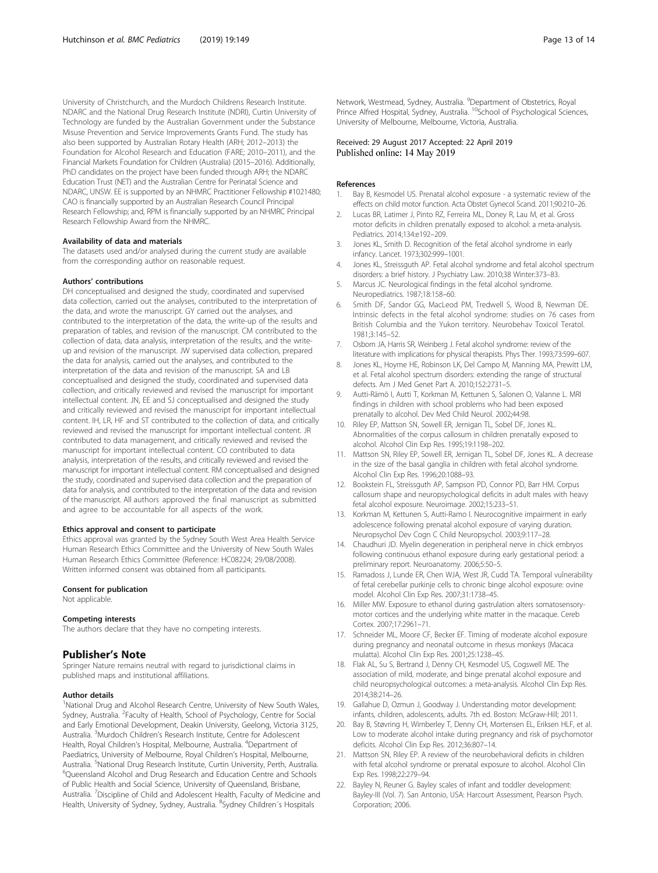<span id="page-12-0"></span>University of Christchurch, and the Murdoch Childrens Research Institute. NDARC and the National Drug Research Institute (NDRI), Curtin University of Technology are funded by the Australian Government under the Substance Misuse Prevention and Service Improvements Grants Fund. The study has also been supported by Australian Rotary Health (ARH; 2012–2013) the Foundation for Alcohol Research and Education (FARE; 2010–2011), and the Financial Markets Foundation for Children (Australia) (2015–2016). Additionally, PhD candidates on the project have been funded through ARH; the NDARC Education Trust (NET) and the Australian Centre for Perinatal Science and NDARC, UNSW. EE is supported by an NHMRC Practitioner Fellowship #1021480; CAO is financially supported by an Australian Research Council Principal Research Fellowship; and, RPM is financially supported by an NHMRC Principal Research Fellowship Award from the NHMRC.

#### Availability of data and materials

The datasets used and/or analysed during the current study are available from the corresponding author on reasonable request.

#### Authors' contributions

DH conceptualised and designed the study, coordinated and supervised data collection, carried out the analyses, contributed to the interpretation of the data, and wrote the manuscript. GY carried out the analyses, and contributed to the interpretation of the data, the write-up of the results and preparation of tables, and revision of the manuscript. CM contributed to the collection of data, data analysis, interpretation of the results, and the writeup and revision of the manuscript. JW supervised data collection, prepared the data for analysis, carried out the analyses, and contributed to the interpretation of the data and revision of the manuscript. SA and LB conceptualised and designed the study, coordinated and supervised data collection, and critically reviewed and revised the manuscript for important intellectual content. JN, EE and SJ conceptualised and designed the study and critically reviewed and revised the manuscript for important intellectual content. IH, LR, HF and ST contributed to the collection of data, and critically reviewed and revised the manuscript for important intellectual content. JR contributed to data management, and critically reviewed and revised the manuscript for important intellectual content. CO contributed to data analysis, interpretation of the results, and critically reviewed and revised the manuscript for important intellectual content. RM conceptualised and designed the study, coordinated and supervised data collection and the preparation of data for analysis, and contributed to the interpretation of the data and revision of the manuscript. All authors approved the final manuscript as submitted and agree to be accountable for all aspects of the work.

#### Ethics approval and consent to participate

Ethics approval was granted by the Sydney South West Area Health Service Human Research Ethics Committee and the University of New South Wales Human Research Ethics Committee (Reference: HC08224; 29/08/2008). Written informed consent was obtained from all participants.

#### Consent for publication

Not applicable.

#### Competing interests

The authors declare that they have no competing interests.

#### Publisher's Note

Springer Nature remains neutral with regard to jurisdictional claims in published maps and institutional affiliations.

#### Author details

<sup>1</sup>National Drug and Alcohol Research Centre, University of New South Wales, Sydney, Australia. <sup>2</sup> Faculty of Health, School of Psychology, Centre for Social and Early Emotional Development, Deakin University, Geelong, Victoria 3125, Australia. <sup>3</sup>Murdoch Children's Research Institute, Centre for Adolescent Health, Royal Children's Hospital, Melbourne, Australia. <sup>4</sup>Department of Paediatrics, University of Melbourne, Royal Children's Hospital, Melbourne, Australia. <sup>5</sup>National Drug Research Institute, Curtin University, Perth, Australia.<br><sup>6</sup>Queensland Alcohol and Drug Perearch and Education Centre and Schools <sup>6</sup>Queensland Alcohol and Drug Research and Education Centre and Schools of Public Health and Social Science, University of Queensland, Brisbane, Australia. <sup>7</sup>Discipline of Child and Adolescent Health, Faculty of Medicine and Health, University of Sydney, Sydney, Australia. <sup>8</sup>Sydney Children's Hospitals

#### Received: 29 August 2017 Accepted: 22 April 2019 Published online: 14 May 2019

#### References

- 1. Bay B, Kesmodel US. Prenatal alcohol exposure a systematic review of the effects on child motor function. Acta Obstet Gynecol Scand. 2011;90:210–26.
- 2. Lucas BR, Latimer J, Pinto RZ, Ferreira ML, Doney R, Lau M, et al. Gross motor deficits in children prenatally exposed to alcohol: a meta-analysis. Pediatrics. 2014;134:e192–209.
- 3. Jones KL, Smith D. Recognition of the fetal alcohol syndrome in early infancy. Lancet. 1973;302:999–1001.
- 4. Jones KL, Streissguth AP. Fetal alcohol syndrome and fetal alcohol spectrum disorders: a brief history. J Psychiatry Law. 2010;38 Winter:373–83.
- Marcus JC. Neurological findings in the fetal alcohol syndrome. Neuropediatrics. 1987;18:158–60.
- 6. Smith DF, Sandor GG, MacLeod PM, Tredwell S, Wood B, Newman DE. Intrinsic defects in the fetal alcohol syndrome: studies on 76 cases from British Columbia and the Yukon territory. Neurobehav Toxicol Teratol. 1981;3:145–52.
- 7. Osborn JA, Harris SR, Weinberg J. Fetal alcohol syndrome: review of the literature with implications for physical therapists. Phys Ther. 1993;73:599–607.
- 8. Jones KL, Hoyme HE, Robinson LK, Del Campo M, Manning MA, Prewitt LM, et al. Fetal alcohol spectrum disorders: extending the range of structural defects. Am J Med Genet Part A. 2010;152:2731–5.
- 9. Autti-Rämö I, Autti T, Korkman M, Kettunen S, Salonen O, Valanne L. MRI findings in children with school problems who had been exposed prenatally to alcohol. Dev Med Child Neurol. 2002;44:98.
- 10. Riley EP, Mattson SN, Sowell ER, Jernigan TL, Sobel DF, Jones KL. Abnormalities of the corpus callosum in children prenatally exposed to alcohol. Alcohol Clin Exp Res. 1995;19:1198–202.
- 11. Mattson SN, Riley EP, Sowell ER, Jernigan TL, Sobel DF, Jones KL. A decrease in the size of the basal ganglia in children with fetal alcohol syndrome. Alcohol Clin Exp Res. 1996;20:1088–93.
- 12. Bookstein FL, Streissguth AP, Sampson PD, Connor PD, Barr HM. Corpus callosum shape and neuropsychological deficits in adult males with heavy fetal alcohol exposure. Neuroimage. 2002;15:233–51.
- 13. Korkman M, Kettunen S, Autti-Ramo I. Neurocognitive impairment in early adolescence following prenatal alcohol exposure of varying duration. Neuropsychol Dev Cogn C Child Neuropsychol. 2003;9:117–28.
- 14. Chaudhuri JD. Myelin degeneration in peripheral nerve in chick embryos following continuous ethanol exposure during early gestational period: a preliminary report. Neuroanatomy. 2006;5:50–5.
- 15. Ramadoss J, Lunde ER, Chen WJA, West JR, Cudd TA. Temporal vulnerability of fetal cerebellar purkinje cells to chronic binge alcohol exposure: ovine model. Alcohol Clin Exp Res. 2007;31:1738–45.
- 16. Miller MW. Exposure to ethanol during gastrulation alters somatosensorymotor cortices and the underlying white matter in the macaque. Cereb Cortex. 2007;17:2961–71.
- 17. Schneider ML, Moore CF, Becker EF. Timing of moderate alcohol exposure during pregnancy and neonatal outcome in rhesus monkeys (Macaca mulatta). Alcohol Clin Exp Res. 2001;25:1238–45.
- 18. Flak AL, Su S, Bertrand J, Denny CH, Kesmodel US, Cogswell ME. The association of mild, moderate, and binge prenatal alcohol exposure and child neuropsychological outcomes: a meta-analysis. Alcohol Clin Exp Res. 2014;38:214–26.
- 19. Gallahue D, Ozmun J, Goodway J. Understanding motor development: infants, children, adolescents, adults. 7th ed. Boston: McGraw-Hill; 2011.
- 20. Bay B, Støvring H, Wimberley T, Denny CH, Mortensen EL, Eriksen HLF, et al. Low to moderate alcohol intake during pregnancy and risk of psychomotor deficits. Alcohol Clin Exp Res. 2012;36:807–14.
- 21. Mattson SN, Riley EP. A review of the neurobehavioral deficits in children with fetal alcohol syndrome or prenatal exposure to alcohol. Alcohol Clin Exp Res. 1998;22:279–94.
- 22. Bayley N, Reuner G. Bayley scales of infant and toddler development: Bayley-III (Vol. 7). San Antonio, USA: Harcourt Assessment, Pearson Psych. Corporation; 2006.